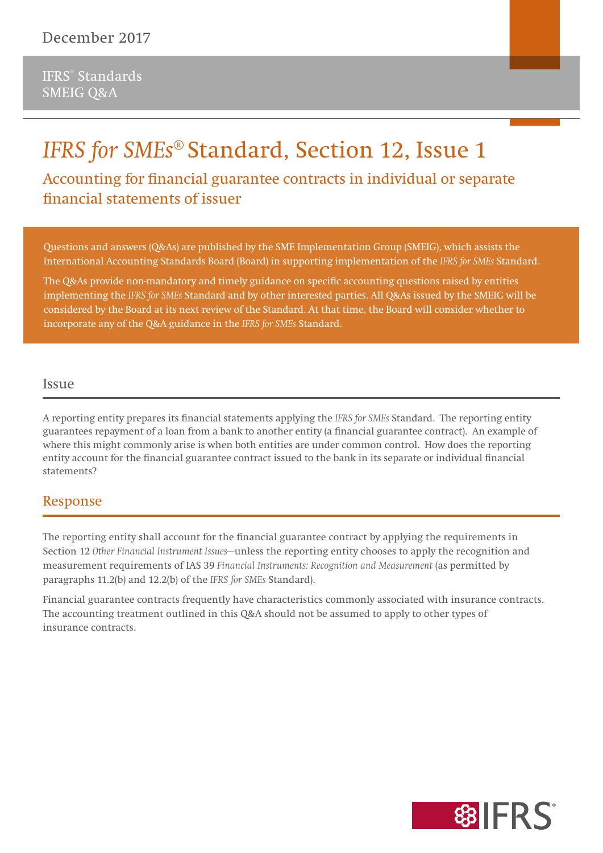# *IFRS for SMEs***® Standard, Section 12, Issue 1**

**Accounting for financial guarantee contracts in individual or separate financial statements of issuer**

Questions and answers (Q&As) are published by the SME Implementation Group (SMEIG), which assists the International Accounting Standards Board (Board) in supporting implementation of the *IFRS for SMEs* Standard.

The Q&As provide non-mandatory and timely guidance on specific accounting questions raised by entities implementing the *IFRS for SMEs* Standard and by other interested parties. All Q&As issued by the SMEIG will be considered by the Board at its next review of the Standard. At that time, the Board will consider whether to incorporate any of the Q&A guidance in the *IFRS for SMEs* Standard.

#### Issue

A reporting entity prepares its financial statements applying the *IFRS for SMEs* Standard. The reporting entity guarantees repayment of a loan from a bank to another entity (a financial guarantee contract). An example of where this might commonly arise is when both entities are under common control. How does the reporting entity account for the financial guarantee contract issued to the bank in its separate or individual financial statements?

### **Response**

The reporting entity shall account for the financial guarantee contract by applying the requirements in Section 12 *Other Financial Instrument Issues*—unless the reporting entity chooses to apply the recognition and measurement requirements of IAS 39 *Financial Instruments: Recognition and Measurement* (as permitted by paragraphs 11.2(b) and 12.2(b) of the *IFRS for SMEs* Standard).

Financial guarantee contracts frequently have characteristics commonly associated with insurance contracts. The accounting treatment outlined in this Q&A should not be assumed to apply to other types of insurance contracts.

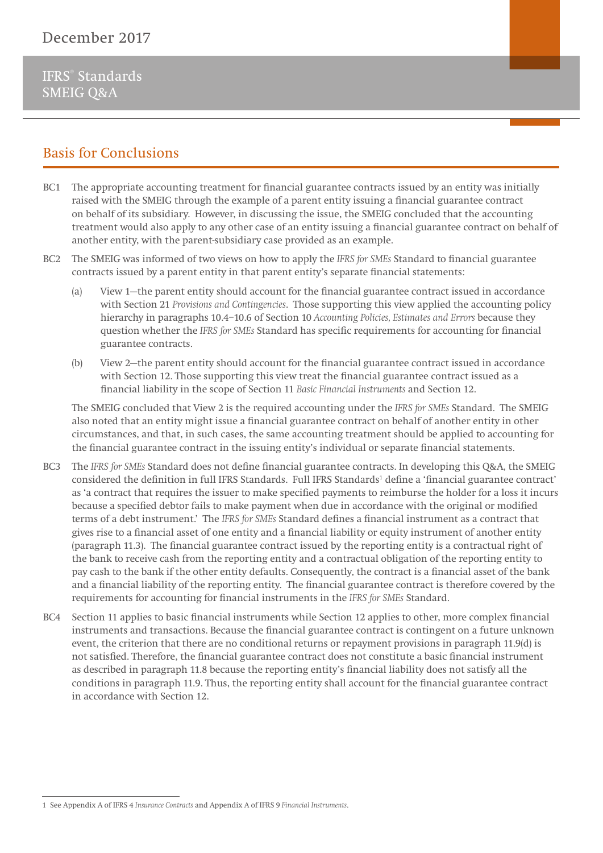IFRS® Standards SMEIG Q&A

# **Basis for Conclusions**

- BC1 The appropriate accounting treatment for financial guarantee contracts issued by an entity was initially raised with the SMEIG through the example of a parent entity issuing a financial guarantee contract on behalf of its subsidiary. However, in discussing the issue, the SMEIG concluded that the accounting treatment would also apply to any other case of an entity issuing a financial guarantee contract on behalf of another entity, with the parent-subsidiary case provided as an example.
- BC2 The SMEIG was informed of two views on how to apply the *IFRS for SMEs* Standard to financial guarantee contracts issued by a parent entity in that parent entity's separate financial statements:
	- (a) View 1—the parent entity should account for the financial guarantee contract issued in accordance with Section 21 *Provisions and Contingencies*. Those supporting this view applied the accounting policy hierarchy in paragraphs 10.4–10.6 of Section 10 *Accounting Policies, Estimates and Errors* because they question whether the *IFRS for SMEs* Standard has specific requirements for accounting for financial guarantee contracts.
	- (b) View 2—the parent entity should account for the financial guarantee contract issued in accordance with Section 12. Those supporting this view treat the financial guarantee contract issued as a financial liability in the scope of Section 11 *Basic Financial Instruments* and Section 12.

 The SMEIG concluded that View 2 is the required accounting under the *IFRS for SMEs* Standard. The SMEIG also noted that an entity might issue a financial guarantee contract on behalf of another entity in other circumstances, and that, in such cases, the same accounting treatment should be applied to accounting for the financial guarantee contract in the issuing entity's individual or separate financial statements.

- BC3 The *IFRS for SMEs* Standard does not define financial guarantee contracts. In developing this Q&A, the SMEIG considered the definition in full IFRS Standards. Full IFRS Standards<sup>1</sup> define a 'financial guarantee contract' as 'a contract that requires the issuer to make specified payments to reimburse the holder for a loss it incurs because a specified debtor fails to make payment when due in accordance with the original or modified terms of a debt instrument.' The *IFRS for SMEs* Standard defines a financial instrument as a contract that gives rise to a financial asset of one entity and a financial liability or equity instrument of another entity (paragraph 11.3). The financial guarantee contract issued by the reporting entity is a contractual right of the bank to receive cash from the reporting entity and a contractual obligation of the reporting entity to pay cash to the bank if the other entity defaults. Consequently, the contract is a financial asset of the bank and a financial liability of the reporting entity. The financial guarantee contract is therefore covered by the requirements for accounting for financial instruments in the *IFRS for SMEs* Standard.
- BC4 Section 11 applies to basic financial instruments while Section 12 applies to other, more complex financial instruments and transactions. Because the financial guarantee contract is contingent on a future unknown event, the criterion that there are no conditional returns or repayment provisions in paragraph 11.9(d) is not satisfied. Therefore, the financial guarantee contract does not constitute a basic financial instrument as described in paragraph 11.8 because the reporting entity's financial liability does not satisfy all the conditions in paragraph 11.9. Thus, the reporting entity shall account for the financial guarantee contract in accordance with Section 12.

<sup>1</sup> See Appendix A of IFRS 4 *Insurance Contracts* and Appendix A of IFRS 9 *Financial Instruments*.